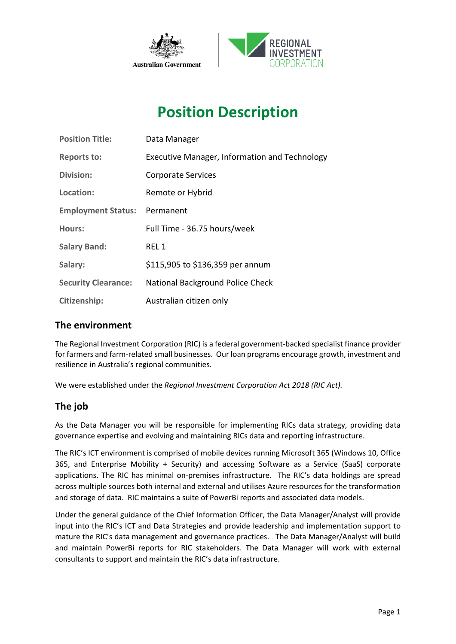

# **Position Description**

| <b>Position Title:</b>     | Data Manager                                  |
|----------------------------|-----------------------------------------------|
| <b>Reports to:</b>         | Executive Manager, Information and Technology |
| Division:                  | <b>Corporate Services</b>                     |
| Location:                  | Remote or Hybrid                              |
| <b>Employment Status:</b>  | Permanent                                     |
| Hours:                     | Full Time - 36.75 hours/week                  |
| <b>Salary Band:</b>        | REL 1                                         |
| Salary:                    | \$115,905 to \$136,359 per annum              |
| <b>Security Clearance:</b> | National Background Police Check              |
| Citizenship:               | Australian citizen only                       |

### **The environment**

The Regional Investment Corporation (RIC) is a federal government-backed specialist finance provider for farmers and farm-related small businesses. Our loan programs encourage growth, investment and resilience in Australia's regional communities.

We were established under the *Regional Investment Corporation Act 2018 (RIC Act).*

### **The job**

As the Data Manager you will be responsible for implementing RICs data strategy, providing data governance expertise and evolving and maintaining RICs data and reporting infrastructure.

The RIC's ICT environment is comprised of mobile devices running Microsoft 365 (Windows 10, Office 365, and Enterprise Mobility + Security) and accessing Software as a Service (SaaS) corporate applications. The RIC has minimal on-premises infrastructure. The RIC's data holdings are spread across multiple sources both internal and external and utilises Azure resources for the transformation and storage of data. RIC maintains a suite of PowerBi reports and associated data models.

Under the general guidance of the Chief Information Officer, the Data Manager/Analyst will provide input into the RIC's ICT and Data Strategies and provide leadership and implementation support to mature the RIC's data management and governance practices. The Data Manager/Analyst will build and maintain PowerBi reports for RIC stakeholders. The Data Manager will work with external consultants to support and maintain the RIC's data infrastructure.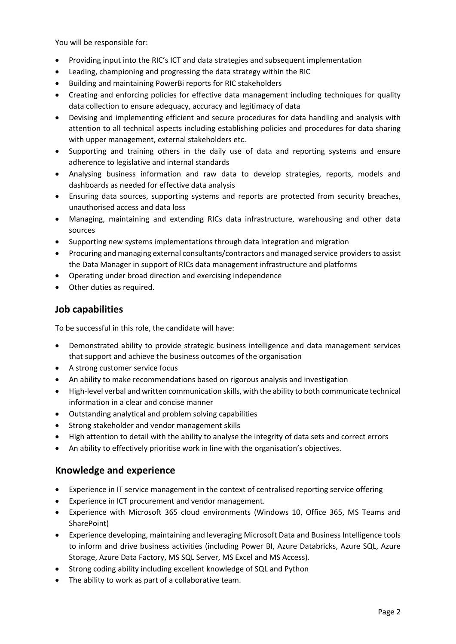You will be responsible for:

- Providing input into the RIC's ICT and data strategies and subsequent implementation
- Leading, championing and progressing the data strategy within the RIC
- Building and maintaining PowerBi reports for RIC stakeholders
- Creating and enforcing policies for effective data management including techniques for quality data collection to ensure adequacy, accuracy and legitimacy of data
- Devising and implementing efficient and secure procedures for data handling and analysis with attention to all technical aspects including establishing policies and procedures for data sharing with upper management, external stakeholders etc.
- Supporting and training others in the daily use of data and reporting systems and ensure adherence to legislative and internal standards
- Analysing business information and raw data to develop strategies, reports, models and dashboards as needed for effective data analysis
- Ensuring data sources, supporting systems and reports are protected from security breaches, unauthorised access and data loss
- Managing, maintaining and extending RICs data infrastructure, warehousing and other data sources
- Supporting new systems implementations through data integration and migration
- Procuring and managing external consultants/contractors and managed service providers to assist the Data Manager in support of RICs data management infrastructure and platforms
- Operating under broad direction and exercising independence
- Other duties as required.

### **Job capabilities**

To be successful in this role, the candidate will have:

- Demonstrated ability to provide strategic business intelligence and data management services that support and achieve the business outcomes of the organisation
- A strong customer service focus
- An ability to make recommendations based on rigorous analysis and investigation
- High-level verbal and written communication skills, with the ability to both communicate technical information in a clear and concise manner
- Outstanding analytical and problem solving capabilities
- Strong stakeholder and vendor management skills
- High attention to detail with the ability to analyse the integrity of data sets and correct errors
- An ability to effectively prioritise work in line with the organisation's objectives.

### **Knowledge and experience**

- Experience in IT service management in the context of centralised reporting service offering
- Experience in ICT procurement and vendor management.
- Experience with Microsoft 365 cloud environments (Windows 10, Office 365, MS Teams and SharePoint)
- Experience developing, maintaining and leveraging Microsoft Data and Business Intelligence tools to inform and drive business activities (including Power BI, Azure Databricks, Azure SQL, Azure Storage, Azure Data Factory, MS SQL Server, MS Excel and MS Access).
- Strong coding ability including excellent knowledge of SQL and Python
- The ability to work as part of a collaborative team.